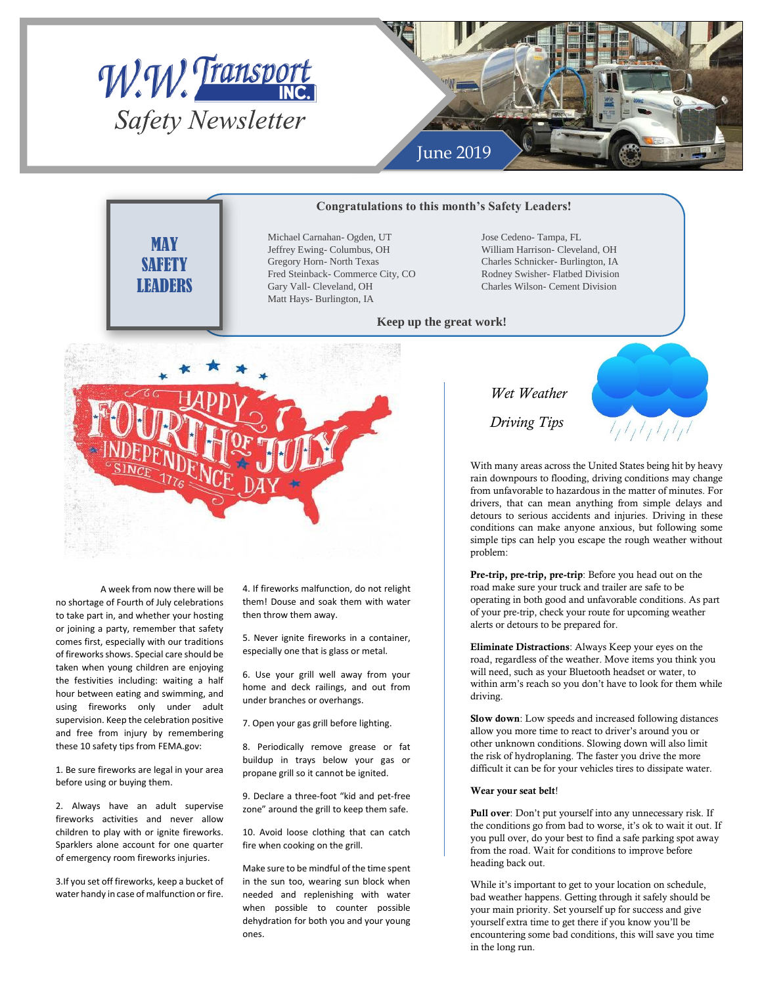



### **Congratulations to this month's Safety Leaders!**

**MAY SAFFTY LEADERS** 

Michael Carnahan- Ogden, UT Jeffrey Ewing- Columbus, OH Gregory Horn- North Texas Fred Steinback- Commerce City, CO Gary Vall- Cleveland, OH Matt Hays- Burlington, IA

Jose Cedeno- Tampa, FL William Harrison- Cleveland, OH Charles Schnicker- Burlington, IA Rodney Swisher- Flatbed Division Charles Wilson- Cement Division

### **Keep up the great work!**



A week from now there will be no shortage of Fourth of July celebrations to take part in, and whether your hosting or joining a party, remember that safety comes first, especially with our traditions of fireworks shows. Special care should be taken when young children are enjoying the festivities including: waiting a half hour between eating and swimming, and using fireworks only under adult supervision. Keep the celebration positive and free from injury by remembering these 10 safety tips from FEMA.gov:

1. Be sure fireworks are legal in your area before using or buying them.

2. Always have an adult supervise fireworks activities and never allow children to play with or ignite fireworks. Sparklers alone account for one quarter of emergency room fireworks injuries.

3.If you set off fireworks, keep a bucket of water handy in case of malfunction or fire.

4. If fireworks malfunction, do not relight them! Douse and soak them with water then throw them away.

5. Never ignite fireworks in a container, especially one that is glass or metal.

6. Use your grill well away from your home and deck railings, and out from under branches or overhangs.

7. Open your gas grill before lighting.

8. Periodically remove grease or fat buildup in trays below your gas or propane grill so it cannot be ignited.

9. Declare a three-foot "kid and pet-free zone" around the grill to keep them safe.

10. Avoid loose clothing that can catch fire when cooking on the grill.

Make sure to be mindful of the time spent in the sun too, wearing sun block when needed and replenishing with water when possible to counter possible dehydration for both you and your young ones.

## *Wet Weather*

*Driving Tips*

With many areas across the United States being hit by heavy rain downpours to flooding, driving conditions may change *We*from unfavorable to hazardous in the matter of minutes. For drivers, that can mean anything from simple delays and detours to serious accidents and injuries. Driving in these conditions can make anyone anxious, but following some simple tips can help you escape the rough weather without problem:

 $I_1I_1I_1I_1I_1I_1$ 

**Pre-trip, pre-trip, pre-trip**: Before you head out on the road make sure your truck and trailer are safe to be operating in both good and unfavorable conditions. As part of your pre-trip, check your route for upcoming weather alerts or detours to be prepared for.

**Eliminate Distractions**: Always Keep your eyes on the road, regardless of the weather. Move items you think you will need, such as your Bluetooth headset or water, to within arm's reach so you don't have to look for them while driving.

**Slow down**: Low speeds and increased following distances allow you more time to react to driver's around you or other unknown conditions. Slowing down will also limit the risk of hydroplaning. The faster you drive the more difficult it can be for your vehicles tires to dissipate water.

#### **Wear your seat belt**!

**Pull over**: Don't put yourself into any unnecessary risk. If the conditions go from bad to worse, it's ok to wait it out. If you pull over, do your best to find a safe parking spot away from the road. Wait for conditions to improve before heading back out.

While it's important to get to your location on schedule, bad weather happens. Getting through it safely should be your main priority. Set yourself up for success and give yourself extra time to get there if you know you'll be encountering some bad conditions, this will save you time in the long run.